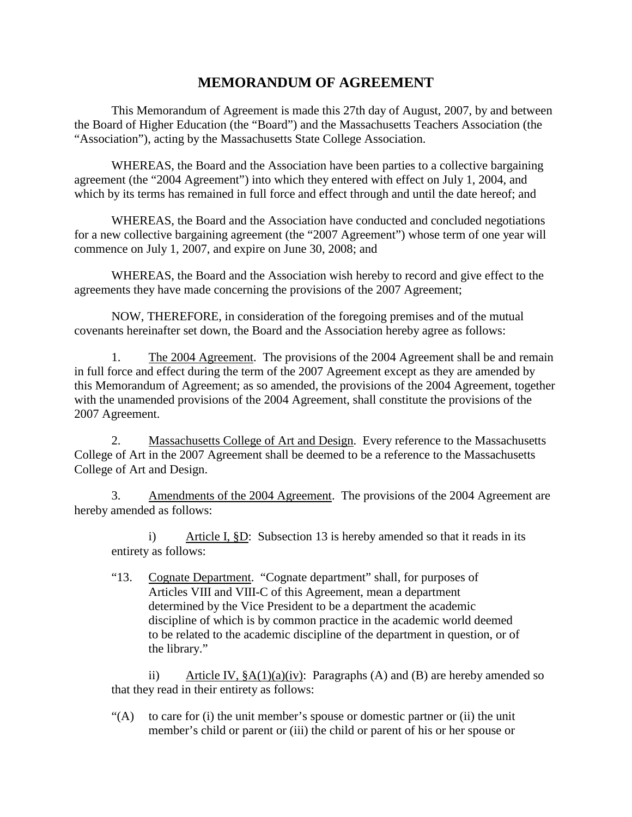# **MEMORANDUM OF AGREEMENT**

This Memorandum of Agreement is made this 27th day of August, 2007, by and between the Board of Higher Education (the "Board") and the Massachusetts Teachers Association (the "Association"), acting by the Massachusetts State College Association.

WHEREAS, the Board and the Association have been parties to a collective bargaining agreement (the "2004 Agreement") into which they entered with effect on July 1, 2004, and which by its terms has remained in full force and effect through and until the date hereof; and

WHEREAS, the Board and the Association have conducted and concluded negotiations for a new collective bargaining agreement (the "2007 Agreement") whose term of one year will commence on July 1, 2007, and expire on June 30, 2008; and

WHEREAS, the Board and the Association wish hereby to record and give effect to the agreements they have made concerning the provisions of the 2007 Agreement;

NOW, THEREFORE, in consideration of the foregoing premises and of the mutual covenants hereinafter set down, the Board and the Association hereby agree as follows:

1. The 2004 Agreement. The provisions of the 2004 Agreement shall be and remain in full force and effect during the term of the 2007 Agreement except as they are amended by this Memorandum of Agreement; as so amended, the provisions of the 2004 Agreement, together with the unamended provisions of the 2004 Agreement, shall constitute the provisions of the 2007 Agreement.

2. Massachusetts College of Art and Design. Every reference to the Massachusetts College of Art in the 2007 Agreement shall be deemed to be a reference to the Massachusetts College of Art and Design.

3. Amendments of the 2004 Agreement. The provisions of the 2004 Agreement are hereby amended as follows:

i) Article I, <u>§D</u>: Subsection 13 is hereby amended so that it reads in its entirety as follows:

"13. Cognate Department. "Cognate department" shall, for purposes of Articles VIII and VIII-C of this Agreement, mean a department determined by the Vice President to be a department the academic discipline of which is by common practice in the academic world deemed to be related to the academic discipline of the department in question, or of the library."

ii) Article IV,  $\frac{8}{9}A(1)(a)(iv)$ : Paragraphs (A) and (B) are hereby amended so that they read in their entirety as follows:

" $(A)$  to care for (i) the unit member's spouse or domestic partner or (ii) the unit member's child or parent or (iii) the child or parent of his or her spouse or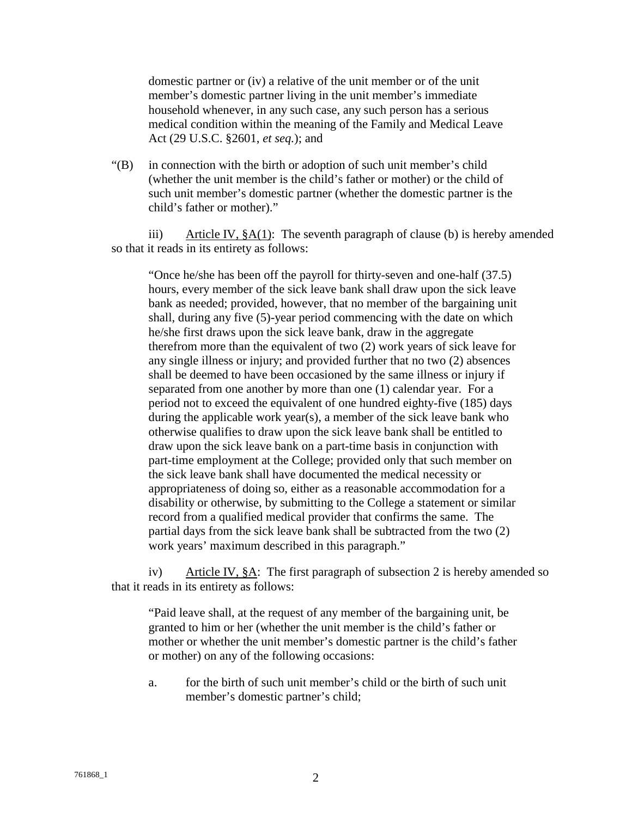domestic partner or (iv) a relative of the unit member or of the unit member's domestic partner living in the unit member's immediate household whenever, in any such case, any such person has a serious medical condition within the meaning of the Family and Medical Leave Act (29 U.S.C. §2601, *et seq.*); and

"(B) in connection with the birth or adoption of such unit member's child (whether the unit member is the child's father or mother) or the child of such unit member's domestic partner (whether the domestic partner is the child's father or mother)."

iii) Article IV,  $\S A(1)$ : The seventh paragraph of clause (b) is hereby amended so that it reads in its entirety as follows:

"Once he/she has been off the payroll for thirty-seven and one-half (37.5) hours, every member of the sick leave bank shall draw upon the sick leave bank as needed; provided, however, that no member of the bargaining unit shall, during any five (5)-year period commencing with the date on which he/she first draws upon the sick leave bank, draw in the aggregate therefrom more than the equivalent of two (2) work years of sick leave for any single illness or injury; and provided further that no two (2) absences shall be deemed to have been occasioned by the same illness or injury if separated from one another by more than one (1) calendar year. For a period not to exceed the equivalent of one hundred eighty-five (185) days during the applicable work year(s), a member of the sick leave bank who otherwise qualifies to draw upon the sick leave bank shall be entitled to draw upon the sick leave bank on a part-time basis in conjunction with part-time employment at the College; provided only that such member on the sick leave bank shall have documented the medical necessity or appropriateness of doing so, either as a reasonable accommodation for a disability or otherwise, by submitting to the College a statement or similar record from a qualified medical provider that confirms the same. The partial days from the sick leave bank shall be subtracted from the two (2) work years' maximum described in this paragraph."

iv) Article IV,  $\S$ A: The first paragraph of subsection 2 is hereby amended so that it reads in its entirety as follows:

"Paid leave shall, at the request of any member of the bargaining unit, be granted to him or her (whether the unit member is the child's father or mother or whether the unit member's domestic partner is the child's father or mother) on any of the following occasions:

a. for the birth of such unit member's child or the birth of such unit member's domestic partner's child;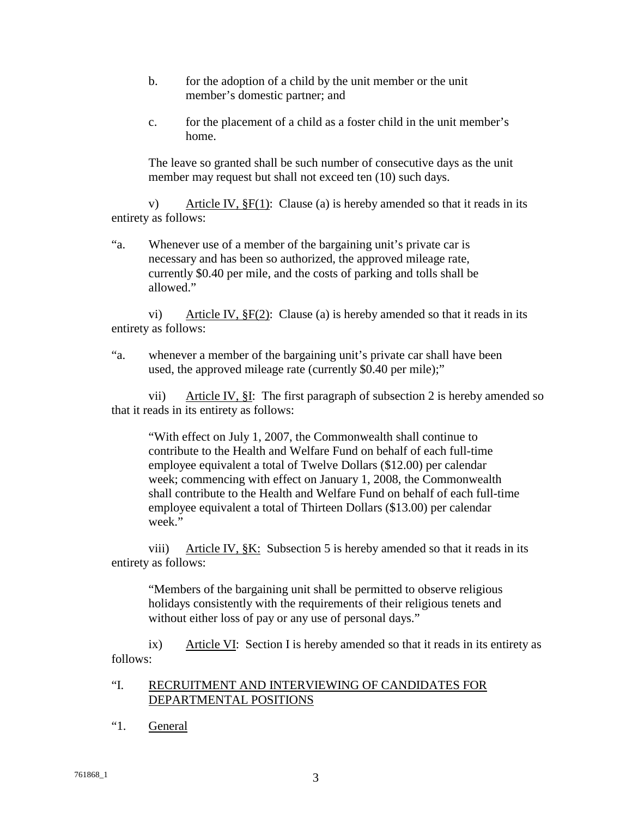- b. for the adoption of a child by the unit member or the unit member's domestic partner; and
- c. for the placement of a child as a foster child in the unit member's home.

The leave so granted shall be such number of consecutive days as the unit member may request but shall not exceed ten (10) such days.

v) Article IV,  $\S F(1)$ : Clause (a) is hereby amended so that it reads in its entirety as follows:

"a. Whenever use of a member of the bargaining unit's private car is necessary and has been so authorized, the approved mileage rate, currently \$0.40 per mile, and the costs of parking and tolls shall be allowed."

vi) Article IV, §F(2): Clause (a) is hereby amended so that it reads in its entirety as follows:

"a. whenever a member of the bargaining unit's private car shall have been used, the approved mileage rate (currently \$0.40 per mile);"

vii) Article IV,  $\S$ I: The first paragraph of subsection 2 is hereby amended so that it reads in its entirety as follows:

"With effect on July 1, 2007, the Commonwealth shall continue to contribute to the Health and Welfare Fund on behalf of each full-time employee equivalent a total of Twelve Dollars (\$12.00) per calendar week; commencing with effect on January 1, 2008, the Commonwealth shall contribute to the Health and Welfare Fund on behalf of each full-time employee equivalent a total of Thirteen Dollars (\$13.00) per calendar week."

viii) Article IV, §K: Subsection 5 is hereby amended so that it reads in its entirety as follows:

"Members of the bargaining unit shall be permitted to observe religious holidays consistently with the requirements of their religious tenets and without either loss of pay or any use of personal days."

ix) Article VI: Section I is hereby amended so that it reads in its entirety as follows:

## "I. RECRUITMENT AND INTERVIEWING OF CANDIDATES FOR DEPARTMENTAL POSITIONS

"1. General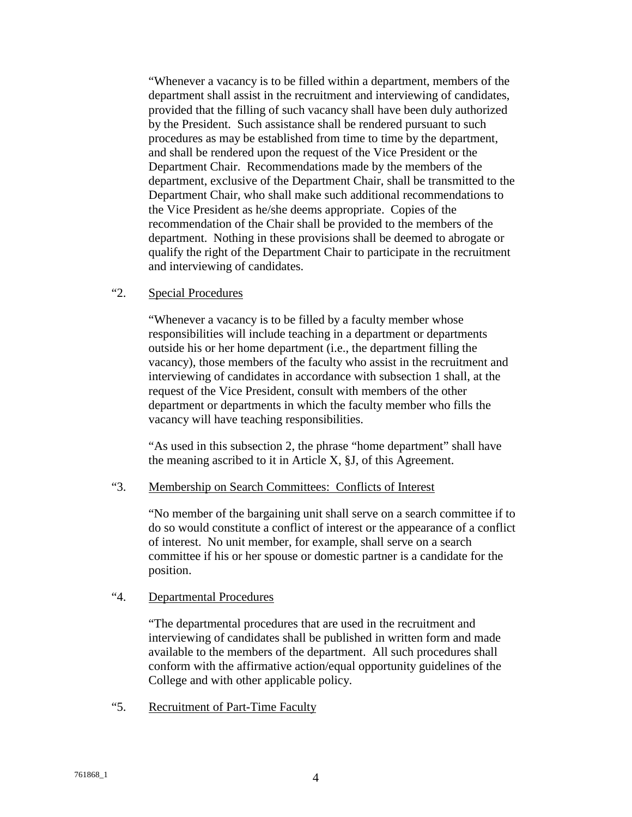"Whenever a vacancy is to be filled within a department, members of the department shall assist in the recruitment and interviewing of candidates, provided that the filling of such vacancy shall have been duly authorized by the President. Such assistance shall be rendered pursuant to such procedures as may be established from time to time by the department, and shall be rendered upon the request of the Vice President or the Department Chair. Recommendations made by the members of the department, exclusive of the Department Chair, shall be transmitted to the Department Chair, who shall make such additional recommendations to the Vice President as he/she deems appropriate. Copies of the recommendation of the Chair shall be provided to the members of the department. Nothing in these provisions shall be deemed to abrogate or qualify the right of the Department Chair to participate in the recruitment and interviewing of candidates.

## "2. Special Procedures

"Whenever a vacancy is to be filled by a faculty member whose responsibilities will include teaching in a department or departments outside his or her home department (i.e., the department filling the vacancy), those members of the faculty who assist in the recruitment and interviewing of candidates in accordance with subsection 1 shall, at the request of the Vice President, consult with members of the other department or departments in which the faculty member who fills the vacancy will have teaching responsibilities.

"As used in this subsection 2, the phrase "home department" shall have the meaning ascribed to it in Article X, §J, of this Agreement.

#### "3. Membership on Search Committees: Conflicts of Interest

"No member of the bargaining unit shall serve on a search committee if to do so would constitute a conflict of interest or the appearance of a conflict of interest. No unit member, for example, shall serve on a search committee if his or her spouse or domestic partner is a candidate for the position.

# "4. Departmental Procedures

"The departmental procedures that are used in the recruitment and interviewing of candidates shall be published in written form and made available to the members of the department. All such procedures shall conform with the affirmative action/equal opportunity guidelines of the College and with other applicable policy.

"5. Recruitment of Part-Time Faculty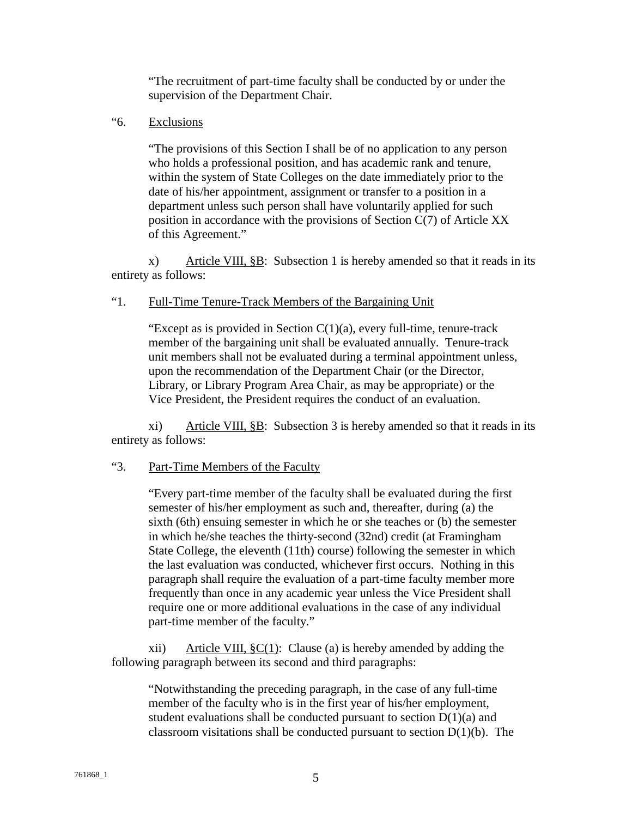"The recruitment of part-time faculty shall be conducted by or under the supervision of the Department Chair.

"6. Exclusions

"The provisions of this Section I shall be of no application to any person who holds a professional position, and has academic rank and tenure, within the system of State Colleges on the date immediately prior to the date of his/her appointment, assignment or transfer to a position in a department unless such person shall have voluntarily applied for such position in accordance with the provisions of Section C(7) of Article XX of this Agreement."

x) Article VIII, §B: Subsection 1 is hereby amended so that it reads in its entirety as follows:

## "1. Full-Time Tenure-Track Members of the Bargaining Unit

"Except as is provided in Section  $C(1)(a)$ , every full-time, tenure-track member of the bargaining unit shall be evaluated annually. Tenure-track unit members shall not be evaluated during a terminal appointment unless, upon the recommendation of the Department Chair (or the Director, Library, or Library Program Area Chair, as may be appropriate) or the Vice President, the President requires the conduct of an evaluation.

xi) Article VIII, §B: Subsection 3 is hereby amended so that it reads in its entirety as follows:

## "3. Part-Time Members of the Faculty

"Every part-time member of the faculty shall be evaluated during the first semester of his/her employment as such and, thereafter, during (a) the sixth (6th) ensuing semester in which he or she teaches or (b) the semester in which he/she teaches the thirty-second (32nd) credit (at Framingham State College, the eleventh (11th) course) following the semester in which the last evaluation was conducted, whichever first occurs. Nothing in this paragraph shall require the evaluation of a part-time faculty member more frequently than once in any academic year unless the Vice President shall require one or more additional evaluations in the case of any individual part-time member of the faculty."

xii) Article VIII,  $\S C(1)$ : Clause (a) is hereby amended by adding the following paragraph between its second and third paragraphs:

"Notwithstanding the preceding paragraph, in the case of any full-time member of the faculty who is in the first year of his/her employment, student evaluations shall be conducted pursuant to section  $D(1)(a)$  and classroom visitations shall be conducted pursuant to section  $D(1)(b)$ . The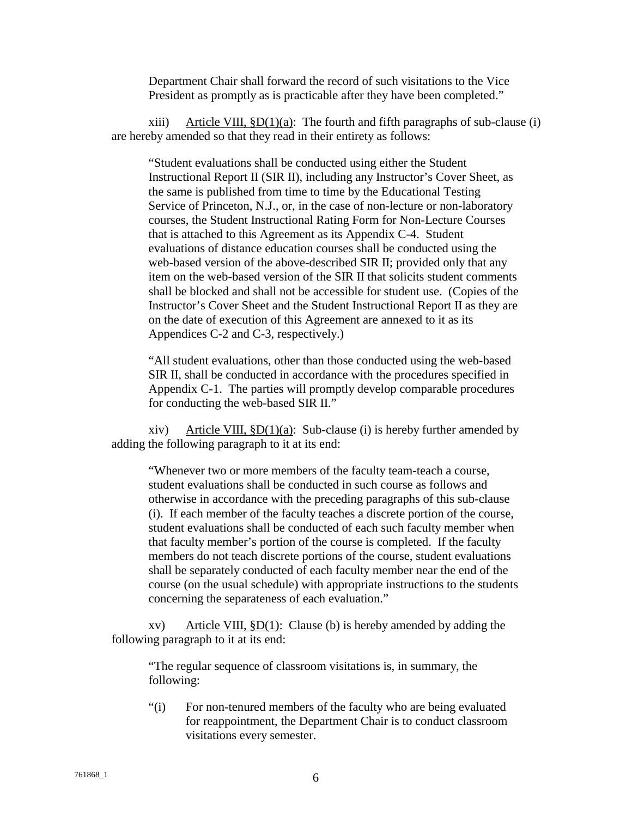Department Chair shall forward the record of such visitations to the Vice President as promptly as is practicable after they have been completed."

xiii) Article VIII,  $$D(1)(a)$ : The fourth and fifth paragraphs of sub-clause (i) are hereby amended so that they read in their entirety as follows:

"Student evaluations shall be conducted using either the Student Instructional Report II (SIR II), including any Instructor's Cover Sheet, as the same is published from time to time by the Educational Testing Service of Princeton, N.J., or, in the case of non-lecture or non-laboratory courses, the Student Instructional Rating Form for Non-Lecture Courses that is attached to this Agreement as its Appendix C-4. Student evaluations of distance education courses shall be conducted using the web-based version of the above-described SIR II; provided only that any item on the web-based version of the SIR II that solicits student comments shall be blocked and shall not be accessible for student use. (Copies of the Instructor's Cover Sheet and the Student Instructional Report II as they are on the date of execution of this Agreement are annexed to it as its Appendices C-2 and C-3, respectively.)

"All student evaluations, other than those conducted using the web-based SIR II, shall be conducted in accordance with the procedures specified in Appendix C-1. The parties will promptly develop comparable procedures for conducting the web-based SIR II."

xiv) Article VIII,  $$D(1)(a)$ : Sub-clause (i) is hereby further amended by adding the following paragraph to it at its end:

"Whenever two or more members of the faculty team-teach a course, student evaluations shall be conducted in such course as follows and otherwise in accordance with the preceding paragraphs of this sub-clause (i). If each member of the faculty teaches a discrete portion of the course, student evaluations shall be conducted of each such faculty member when that faculty member's portion of the course is completed. If the faculty members do not teach discrete portions of the course, student evaluations shall be separately conducted of each faculty member near the end of the course (on the usual schedule) with appropriate instructions to the students concerning the separateness of each evaluation."

xv) Article VIII,  $$D(1)$ : Clause (b) is hereby amended by adding the following paragraph to it at its end:

"The regular sequence of classroom visitations is, in summary, the following:

"(i) For non-tenured members of the faculty who are being evaluated for reappointment, the Department Chair is to conduct classroom visitations every semester.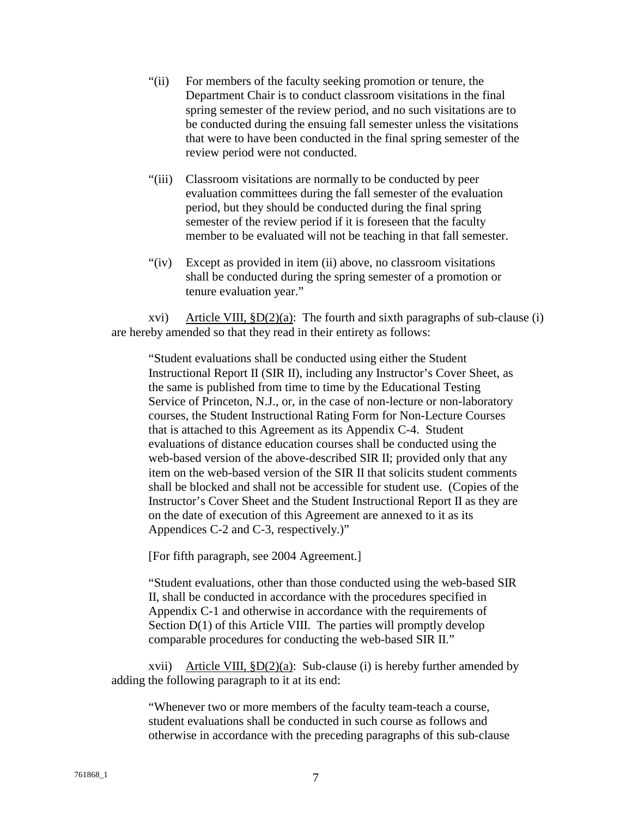- "(ii) For members of the faculty seeking promotion or tenure, the Department Chair is to conduct classroom visitations in the final spring semester of the review period, and no such visitations are to be conducted during the ensuing fall semester unless the visitations that were to have been conducted in the final spring semester of the review period were not conducted.
- "(iii) Classroom visitations are normally to be conducted by peer evaluation committees during the fall semester of the evaluation period, but they should be conducted during the final spring semester of the review period if it is foreseen that the faculty member to be evaluated will not be teaching in that fall semester.
- "(iv) Except as provided in item (ii) above, no classroom visitations shall be conducted during the spring semester of a promotion or tenure evaluation year."

xvi) Article VIII,  $\text{SD}(2)(a)$ : The fourth and sixth paragraphs of sub-clause (i) are hereby amended so that they read in their entirety as follows:

"Student evaluations shall be conducted using either the Student Instructional Report II (SIR II), including any Instructor's Cover Sheet, as the same is published from time to time by the Educational Testing Service of Princeton, N.J., or, in the case of non-lecture or non-laboratory courses, the Student Instructional Rating Form for Non-Lecture Courses that is attached to this Agreement as its Appendix C-4. Student evaluations of distance education courses shall be conducted using the web-based version of the above-described SIR II; provided only that any item on the web-based version of the SIR II that solicits student comments shall be blocked and shall not be accessible for student use. (Copies of the Instructor's Cover Sheet and the Student Instructional Report II as they are on the date of execution of this Agreement are annexed to it as its Appendices C-2 and C-3, respectively.)"

[For fifth paragraph, see 2004 Agreement.]

"Student evaluations, other than those conducted using the web-based SIR II, shall be conducted in accordance with the procedures specified in Appendix C-1 and otherwise in accordance with the requirements of Section  $D(1)$  of this Article VIII. The parties will promptly develop comparable procedures for conducting the web-based SIR II."

xvii) Article VIII,  $$D(2)(a)$ : Sub-clause (i) is hereby further amended by adding the following paragraph to it at its end:

"Whenever two or more members of the faculty team-teach a course, student evaluations shall be conducted in such course as follows and otherwise in accordance with the preceding paragraphs of this sub-clause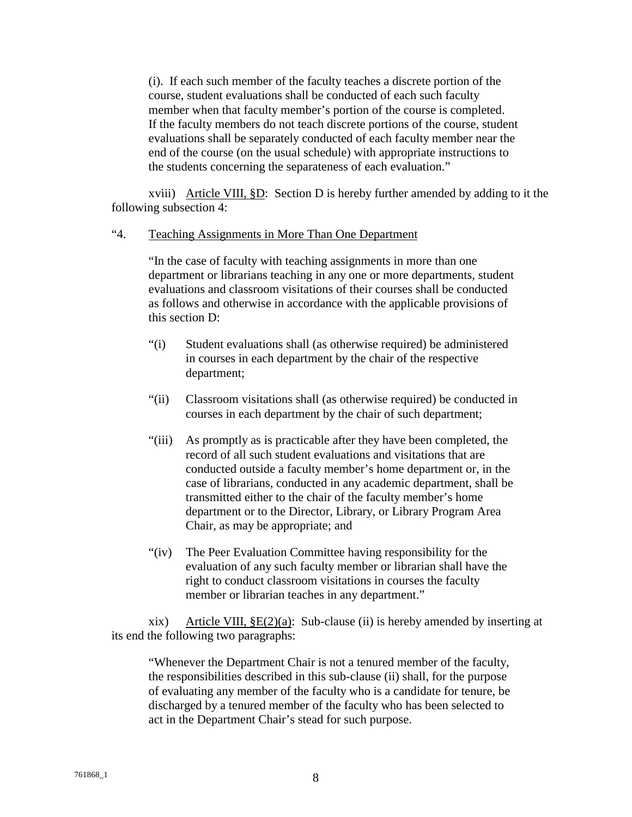(i). If each such member of the faculty teaches a discrete portion of the course, student evaluations shall be conducted of each such faculty member when that faculty member's portion of the course is completed. If the faculty members do not teach discrete portions of the course, student evaluations shall be separately conducted of each faculty member near the end of the course (on the usual schedule) with appropriate instructions to the students concerning the separateness of each evaluation."

xviii) Article VIII, §D: Section D is hereby further amended by adding to it the following subsection 4:

## "4. Teaching Assignments in More Than One Department

 "In the case of faculty with teaching assignments in more than one department or librarians teaching in any one or more departments, student evaluations and classroom visitations of their courses shall be conducted as follows and otherwise in accordance with the applicable provisions of this section D:

- "(i) Student evaluations shall (as otherwise required) be administered in courses in each department by the chair of the respective department;
- "(ii) Classroom visitations shall (as otherwise required) be conducted in courses in each department by the chair of such department;
- "(iii) As promptly as is practicable after they have been completed, the record of all such student evaluations and visitations that are conducted outside a faculty member's home department or, in the case of librarians, conducted in any academic department, shall be transmitted either to the chair of the faculty member's home department or to the Director, Library, or Library Program Area Chair, as may be appropriate; and
- "(iv) The Peer Evaluation Committee having responsibility for the evaluation of any such faculty member or librarian shall have the right to conduct classroom visitations in courses the faculty member or librarian teaches in any department."

xix) Article VIII,  $\S E(2)(a)$ : Sub-clause (ii) is hereby amended by inserting at its end the following two paragraphs:

"Whenever the Department Chair is not a tenured member of the faculty, the responsibilities described in this sub-clause (ii) shall, for the purpose of evaluating any member of the faculty who is a candidate for tenure, be discharged by a tenured member of the faculty who has been selected to act in the Department Chair's stead for such purpose.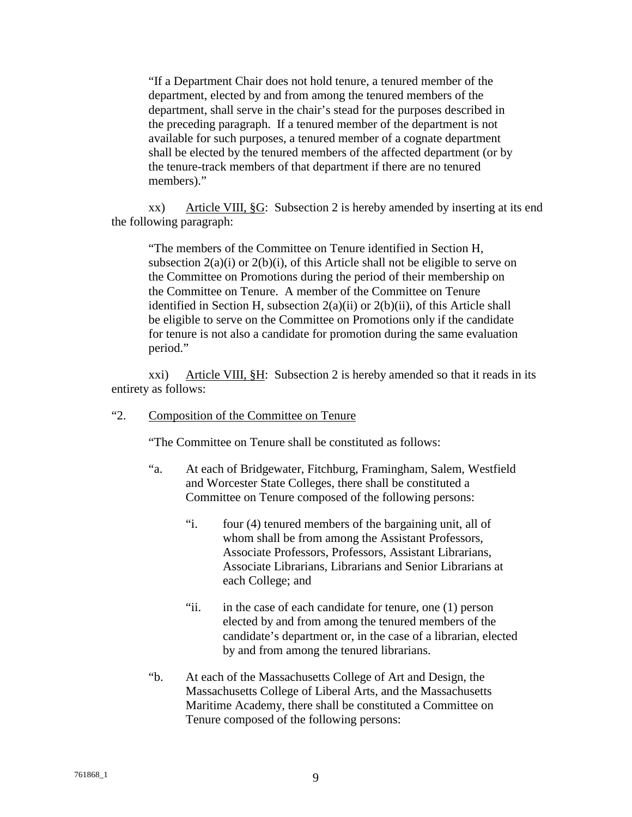"If a Department Chair does not hold tenure, a tenured member of the department, elected by and from among the tenured members of the department, shall serve in the chair's stead for the purposes described in the preceding paragraph. If a tenured member of the department is not available for such purposes, a tenured member of a cognate department shall be elected by the tenured members of the affected department (or by the tenure-track members of that department if there are no tenured members)."

xx) Article VIII, §G: Subsection 2 is hereby amended by inserting at its end the following paragraph:

"The members of the Committee on Tenure identified in Section H, subsection  $2(a)(i)$  or  $2(b)(i)$ , of this Article shall not be eligible to serve on the Committee on Promotions during the period of their membership on the Committee on Tenure. A member of the Committee on Tenure identified in Section H, subsection 2(a)(ii) or 2(b)(ii), of this Article shall be eligible to serve on the Committee on Promotions only if the candidate for tenure is not also a candidate for promotion during the same evaluation period."

xxi) Article VIII, §H: Subsection 2 is hereby amended so that it reads in its entirety as follows:

## "2. Composition of the Committee on Tenure

"The Committee on Tenure shall be constituted as follows:

- "a. At each of Bridgewater, Fitchburg, Framingham, Salem, Westfield and Worcester State Colleges, there shall be constituted a Committee on Tenure composed of the following persons:
	- "i. four (4) tenured members of the bargaining unit, all of whom shall be from among the Assistant Professors, Associate Professors, Professors, Assistant Librarians, Associate Librarians, Librarians and Senior Librarians at each College; and
	- "ii. in the case of each candidate for tenure, one (1) person elected by and from among the tenured members of the candidate's department or, in the case of a librarian, elected by and from among the tenured librarians.
- "b. At each of the Massachusetts College of Art and Design, the Massachusetts College of Liberal Arts, and the Massachusetts Maritime Academy, there shall be constituted a Committee on Tenure composed of the following persons: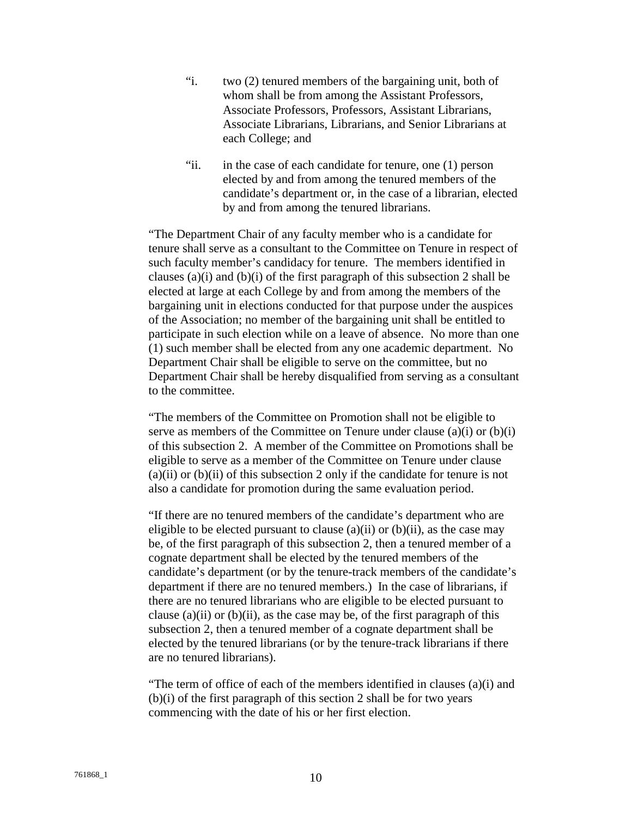- "i. two (2) tenured members of the bargaining unit, both of whom shall be from among the Assistant Professors, Associate Professors, Professors, Assistant Librarians, Associate Librarians, Librarians, and Senior Librarians at each College; and
- "ii. in the case of each candidate for tenure, one (1) person elected by and from among the tenured members of the candidate's department or, in the case of a librarian, elected by and from among the tenured librarians.

"The Department Chair of any faculty member who is a candidate for tenure shall serve as a consultant to the Committee on Tenure in respect of such faculty member's candidacy for tenure. The members identified in clauses (a)(i) and (b)(i) of the first paragraph of this subsection 2 shall be elected at large at each College by and from among the members of the bargaining unit in elections conducted for that purpose under the auspices of the Association; no member of the bargaining unit shall be entitled to participate in such election while on a leave of absence. No more than one (1) such member shall be elected from any one academic department. No Department Chair shall be eligible to serve on the committee, but no Department Chair shall be hereby disqualified from serving as a consultant to the committee.

"The members of the Committee on Promotion shall not be eligible to serve as members of the Committee on Tenure under clause  $(a)(i)$  or  $(b)(i)$ of this subsection 2. A member of the Committee on Promotions shall be eligible to serve as a member of the Committee on Tenure under clause  $(a)(ii)$  or  $(b)(ii)$  of this subsection 2 only if the candidate for tenure is not also a candidate for promotion during the same evaluation period.

"If there are no tenured members of the candidate's department who are eligible to be elected pursuant to clause (a)(ii) or (b)(ii), as the case may be, of the first paragraph of this subsection 2, then a tenured member of a cognate department shall be elected by the tenured members of the candidate's department (or by the tenure-track members of the candidate's department if there are no tenured members.) In the case of librarians, if there are no tenured librarians who are eligible to be elected pursuant to clause (a)(ii) or (b)(ii), as the case may be, of the first paragraph of this subsection 2, then a tenured member of a cognate department shall be elected by the tenured librarians (or by the tenure-track librarians if there are no tenured librarians).

"The term of office of each of the members identified in clauses (a)(i) and (b)(i) of the first paragraph of this section 2 shall be for two years commencing with the date of his or her first election.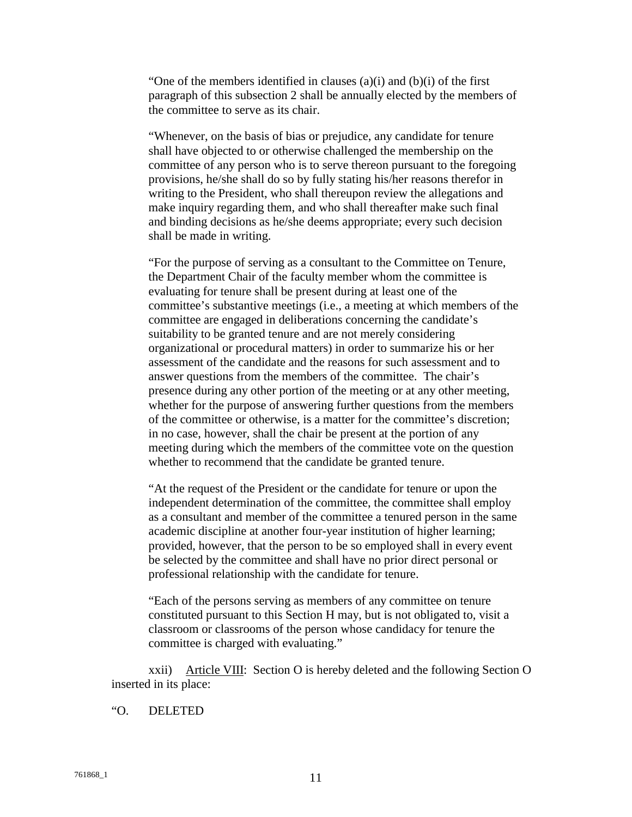"One of the members identified in clauses (a)(i) and (b)(i) of the first paragraph of this subsection 2 shall be annually elected by the members of the committee to serve as its chair.

"Whenever, on the basis of bias or prejudice, any candidate for tenure shall have objected to or otherwise challenged the membership on the committee of any person who is to serve thereon pursuant to the foregoing provisions, he/she shall do so by fully stating his/her reasons therefor in writing to the President, who shall thereupon review the allegations and make inquiry regarding them, and who shall thereafter make such final and binding decisions as he/she deems appropriate; every such decision shall be made in writing.

"For the purpose of serving as a consultant to the Committee on Tenure, the Department Chair of the faculty member whom the committee is evaluating for tenure shall be present during at least one of the committee's substantive meetings (i.e., a meeting at which members of the committee are engaged in deliberations concerning the candidate's suitability to be granted tenure and are not merely considering organizational or procedural matters) in order to summarize his or her assessment of the candidate and the reasons for such assessment and to answer questions from the members of the committee. The chair's presence during any other portion of the meeting or at any other meeting, whether for the purpose of answering further questions from the members of the committee or otherwise, is a matter for the committee's discretion; in no case, however, shall the chair be present at the portion of any meeting during which the members of the committee vote on the question whether to recommend that the candidate be granted tenure.

"At the request of the President or the candidate for tenure or upon the independent determination of the committee, the committee shall employ as a consultant and member of the committee a tenured person in the same academic discipline at another four-year institution of higher learning; provided, however, that the person to be so employed shall in every event be selected by the committee and shall have no prior direct personal or professional relationship with the candidate for tenure.

"Each of the persons serving as members of any committee on tenure constituted pursuant to this Section H may, but is not obligated to, visit a classroom or classrooms of the person whose candidacy for tenure the committee is charged with evaluating."

xxii) Article VIII: Section O is hereby deleted and the following Section O inserted in its place:

#### "O. DELETED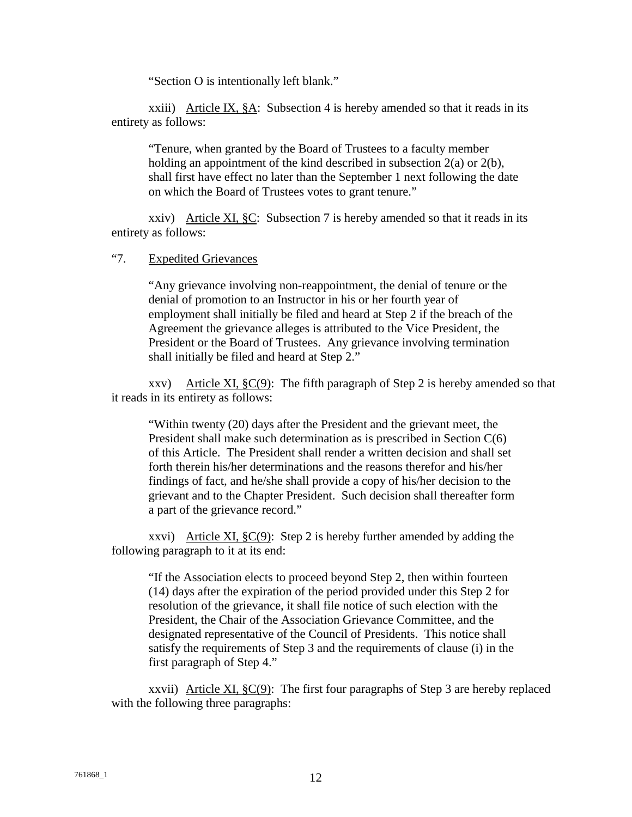"Section O is intentionally left blank."

xxiii) Article IX, §A: Subsection 4 is hereby amended so that it reads in its entirety as follows:

"Tenure, when granted by the Board of Trustees to a faculty member holding an appointment of the kind described in subsection  $2(a)$  or  $2(b)$ , shall first have effect no later than the September 1 next following the date on which the Board of Trustees votes to grant tenure."

xxiv) Article XI,  $\S$ C: Subsection 7 is hereby amended so that it reads in its entirety as follows:

#### "7. Expedited Grievances

 "Any grievance involving non-reappointment, the denial of tenure or the denial of promotion to an Instructor in his or her fourth year of employment shall initially be filed and heard at Step 2 if the breach of the Agreement the grievance alleges is attributed to the Vice President, the President or the Board of Trustees. Any grievance involving termination shall initially be filed and heard at Step 2."

xxv) Article XI,  $\S C(9)$ : The fifth paragraph of Step 2 is hereby amended so that it reads in its entirety as follows:

"Within twenty (20) days after the President and the grievant meet, the President shall make such determination as is prescribed in Section C(6) of this Article. The President shall render a written decision and shall set forth therein his/her determinations and the reasons therefor and his/her findings of fact, and he/she shall provide a copy of his/her decision to the grievant and to the Chapter President. Such decision shall thereafter form a part of the grievance record."

xxvi) Article XI,  $\S C(9)$ : Step 2 is hereby further amended by adding the following paragraph to it at its end:

"If the Association elects to proceed beyond Step 2, then within fourteen (14) days after the expiration of the period provided under this Step 2 for resolution of the grievance, it shall file notice of such election with the President, the Chair of the Association Grievance Committee, and the designated representative of the Council of Presidents. This notice shall satisfy the requirements of Step 3 and the requirements of clause (i) in the first paragraph of Step 4."

xxvii) Article XI,  $\S C(9)$ : The first four paragraphs of Step 3 are hereby replaced with the following three paragraphs: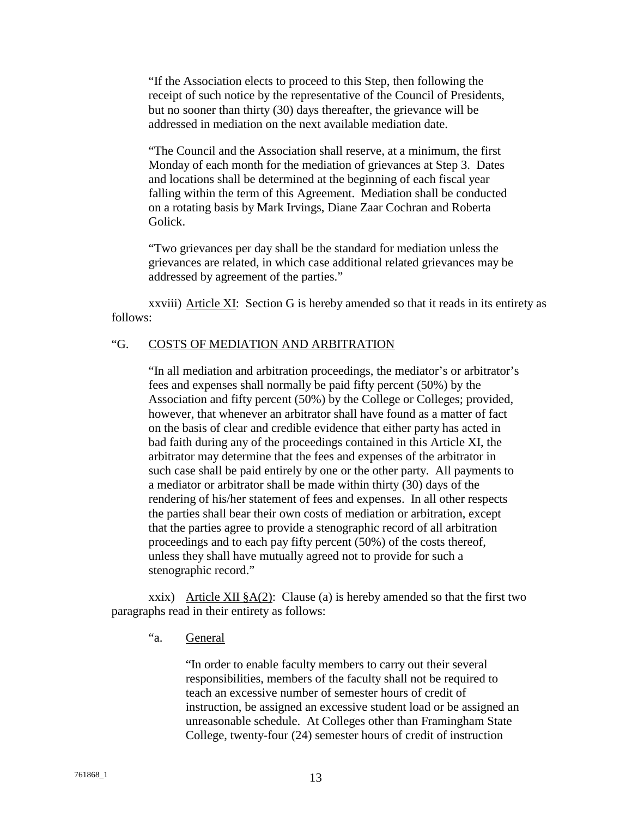"If the Association elects to proceed to this Step, then following the receipt of such notice by the representative of the Council of Presidents, but no sooner than thirty (30) days thereafter, the grievance will be addressed in mediation on the next available mediation date.

"The Council and the Association shall reserve, at a minimum, the first Monday of each month for the mediation of grievances at Step 3. Dates and locations shall be determined at the beginning of each fiscal year falling within the term of this Agreement. Mediation shall be conducted on a rotating basis by Mark Irvings, Diane Zaar Cochran and Roberta Golick.

"Two grievances per day shall be the standard for mediation unless the grievances are related, in which case additional related grievances may be addressed by agreement of the parties."

xxviii) Article XI: Section G is hereby amended so that it reads in its entirety as follows:

## "G. COSTS OF MEDIATION AND ARBITRATION

"In all mediation and arbitration proceedings, the mediator's or arbitrator's fees and expenses shall normally be paid fifty percent (50%) by the Association and fifty percent (50%) by the College or Colleges; provided, however, that whenever an arbitrator shall have found as a matter of fact on the basis of clear and credible evidence that either party has acted in bad faith during any of the proceedings contained in this Article XI, the arbitrator may determine that the fees and expenses of the arbitrator in such case shall be paid entirely by one or the other party. All payments to a mediator or arbitrator shall be made within thirty (30) days of the rendering of his/her statement of fees and expenses. In all other respects the parties shall bear their own costs of mediation or arbitration, except that the parties agree to provide a stenographic record of all arbitration proceedings and to each pay fifty percent (50%) of the costs thereof, unless they shall have mutually agreed not to provide for such a stenographic record."

xxix) Article XII  $\&A(2)$ : Clause (a) is hereby amended so that the first two paragraphs read in their entirety as follows:

"a. General

"In order to enable faculty members to carry out their several responsibilities, members of the faculty shall not be required to teach an excessive number of semester hours of credit of instruction, be assigned an excessive student load or be assigned an unreasonable schedule. At Colleges other than Framingham State College, twenty-four (24) semester hours of credit of instruction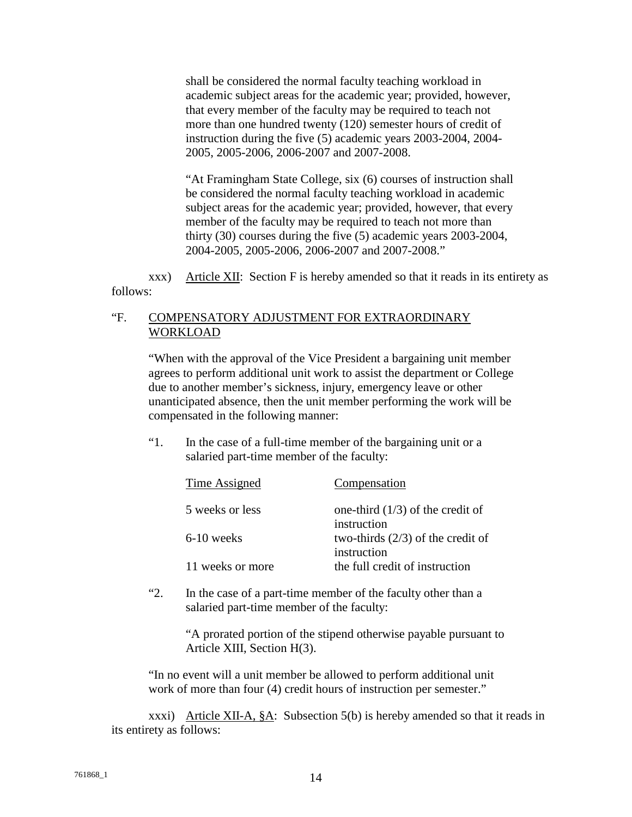shall be considered the normal faculty teaching workload in academic subject areas for the academic year; provided, however, that every member of the faculty may be required to teach not more than one hundred twenty (120) semester hours of credit of instruction during the five (5) academic years 2003-2004, 2004- 2005, 2005-2006, 2006-2007 and 2007-2008.

"At Framingham State College, six (6) courses of instruction shall be considered the normal faculty teaching workload in academic subject areas for the academic year; provided, however, that every member of the faculty may be required to teach not more than thirty (30) courses during the five (5) academic years 2003-2004, 2004-2005, 2005-2006, 2006-2007 and 2007-2008."

xxx) Article XII: Section F is hereby amended so that it reads in its entirety as follows:

## "F. COMPENSATORY ADJUSTMENT FOR EXTRAORDINARY WORKLOAD

 "When with the approval of the Vice President a bargaining unit member agrees to perform additional unit work to assist the department or College due to another member's sickness, injury, emergency leave or other unanticipated absence, then the unit member performing the work will be compensated in the following manner:

 "1. In the case of a full-time member of the bargaining unit or a salaried part-time member of the faculty:

| Time Assigned    | Compensation                        |
|------------------|-------------------------------------|
| 5 weeks or less  | one-third $(1/3)$ of the credit of  |
|                  | instruction                         |
| $6-10$ weeks     | two-thirds $(2/3)$ of the credit of |
|                  | instruction                         |
| 11 weeks or more | the full credit of instruction      |

 "2. In the case of a part-time member of the faculty other than a salaried part-time member of the faculty:

> "A prorated portion of the stipend otherwise payable pursuant to Article XIII, Section H(3).

"In no event will a unit member be allowed to perform additional unit work of more than four (4) credit hours of instruction per semester."

xxxi) Article XII-A, §A: Subsection 5(b) is hereby amended so that it reads in its entirety as follows: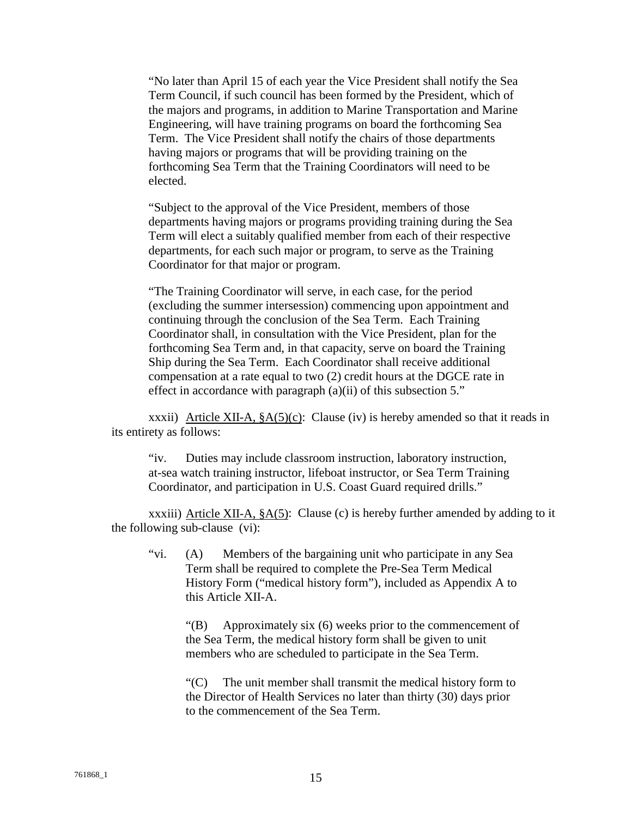"No later than April 15 of each year the Vice President shall notify the Sea Term Council, if such council has been formed by the President, which of the majors and programs, in addition to Marine Transportation and Marine Engineering, will have training programs on board the forthcoming Sea Term. The Vice President shall notify the chairs of those departments having majors or programs that will be providing training on the forthcoming Sea Term that the Training Coordinators will need to be elected.

"Subject to the approval of the Vice President, members of those departments having majors or programs providing training during the Sea Term will elect a suitably qualified member from each of their respective departments, for each such major or program, to serve as the Training Coordinator for that major or program.

"The Training Coordinator will serve, in each case, for the period (excluding the summer intersession) commencing upon appointment and continuing through the conclusion of the Sea Term. Each Training Coordinator shall, in consultation with the Vice President, plan for the forthcoming Sea Term and, in that capacity, serve on board the Training Ship during the Sea Term. Each Coordinator shall receive additional compensation at a rate equal to two (2) credit hours at the DGCE rate in effect in accordance with paragraph (a)(ii) of this subsection 5."

xxxii) Article XII-A,  $\frac{8A(5)(c)}{c}$ : Clause (iv) is hereby amended so that it reads in its entirety as follows:

"iv. Duties may include classroom instruction, laboratory instruction, at-sea watch training instructor, lifeboat instructor, or Sea Term Training Coordinator, and participation in U.S. Coast Guard required drills."

xxxiii) Article XII-A,  $\S A(5)$ : Clause (c) is hereby further amended by adding to it the following sub-clause (vi):

"vi. (A) Members of the bargaining unit who participate in any Sea Term shall be required to complete the Pre-Sea Term Medical History Form ("medical history form"), included as Appendix A to this Article XII-A.

"(B) Approximately six (6) weeks prior to the commencement of the Sea Term, the medical history form shall be given to unit members who are scheduled to participate in the Sea Term.

"(C) The unit member shall transmit the medical history form to the Director of Health Services no later than thirty (30) days prior to the commencement of the Sea Term.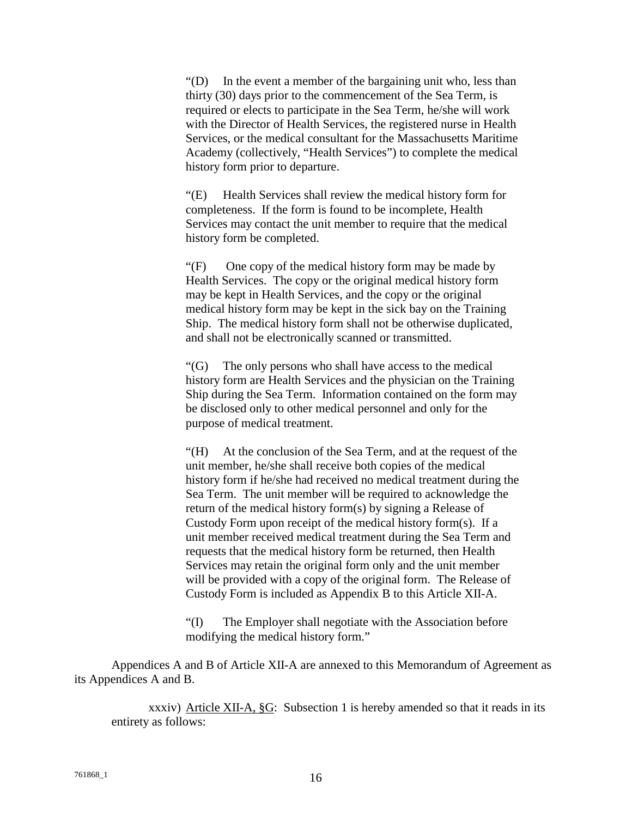"(D) In the event a member of the bargaining unit who, less than thirty (30) days prior to the commencement of the Sea Term, is required or elects to participate in the Sea Term, he/she will work with the Director of Health Services, the registered nurse in Health Services, or the medical consultant for the Massachusetts Maritime Academy (collectively, "Health Services") to complete the medical history form prior to departure.

"(E) Health Services shall review the medical history form for completeness. If the form is found to be incomplete, Health Services may contact the unit member to require that the medical history form be completed.

"(F) One copy of the medical history form may be made by Health Services. The copy or the original medical history form may be kept in Health Services, and the copy or the original medical history form may be kept in the sick bay on the Training Ship. The medical history form shall not be otherwise duplicated, and shall not be electronically scanned or transmitted.

"(G) The only persons who shall have access to the medical history form are Health Services and the physician on the Training Ship during the Sea Term. Information contained on the form may be disclosed only to other medical personnel and only for the purpose of medical treatment.

"(H) At the conclusion of the Sea Term, and at the request of the unit member, he/she shall receive both copies of the medical history form if he/she had received no medical treatment during the Sea Term. The unit member will be required to acknowledge the return of the medical history form(s) by signing a Release of Custody Form upon receipt of the medical history form(s). If a unit member received medical treatment during the Sea Term and requests that the medical history form be returned, then Health Services may retain the original form only and the unit member will be provided with a copy of the original form. The Release of Custody Form is included as Appendix B to this Article XII-A.

"(I) The Employer shall negotiate with the Association before modifying the medical history form."

 Appendices A and B of Article XII-A are annexed to this Memorandum of Agreement as its Appendices A and B.

xxxiv) Article XII-A, §G: Subsection 1 is hereby amended so that it reads in its entirety as follows: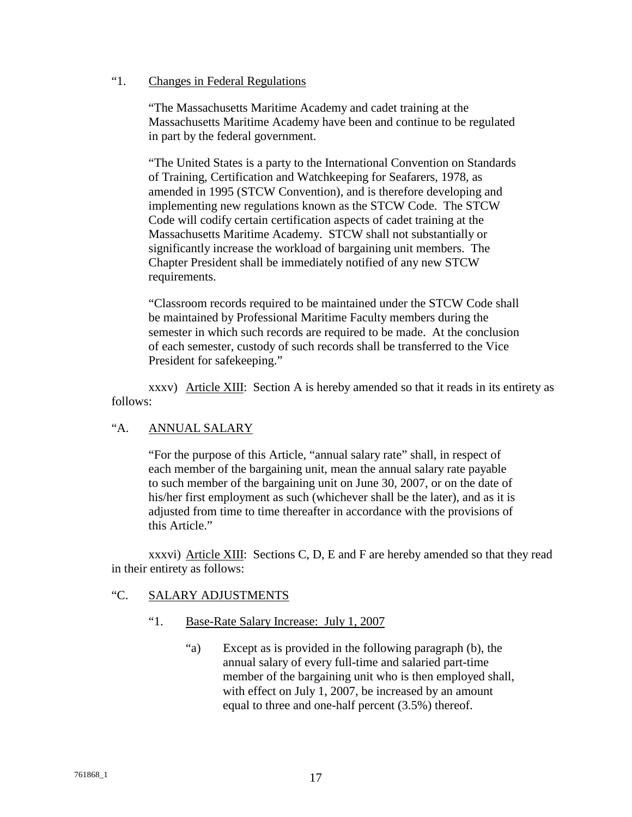## "1. Changes in Federal Regulations

"The Massachusetts Maritime Academy and cadet training at the Massachusetts Maritime Academy have been and continue to be regulated in part by the federal government.

"The United States is a party to the International Convention on Standards of Training, Certification and Watchkeeping for Seafarers, 1978, as amended in 1995 (STCW Convention), and is therefore developing and implementing new regulations known as the STCW Code. The STCW Code will codify certain certification aspects of cadet training at the Massachusetts Maritime Academy. STCW shall not substantially or significantly increase the workload of bargaining unit members. The Chapter President shall be immediately notified of any new STCW requirements.

"Classroom records required to be maintained under the STCW Code shall be maintained by Professional Maritime Faculty members during the semester in which such records are required to be made. At the conclusion of each semester, custody of such records shall be transferred to the Vice President for safekeeping."

xxxv) Article XIII: Section A is hereby amended so that it reads in its entirety as follows:

# "A. ANNUAL SALARY

"For the purpose of this Article, "annual salary rate" shall, in respect of each member of the bargaining unit, mean the annual salary rate payable to such member of the bargaining unit on June 30, 2007, or on the date of his/her first employment as such (whichever shall be the later), and as it is adjusted from time to time thereafter in accordance with the provisions of this Article."

xxxvi) Article XIII: Sections C, D, E and F are hereby amended so that they read in their entirety as follows:

## "C. SALARY ADJUSTMENTS

## "1. Base-Rate Salary Increase: July 1, 2007

 "a) Except as is provided in the following paragraph (b), the annual salary of every full-time and salaried part-time member of the bargaining unit who is then employed shall, with effect on July 1, 2007, be increased by an amount equal to three and one-half percent (3.5%) thereof.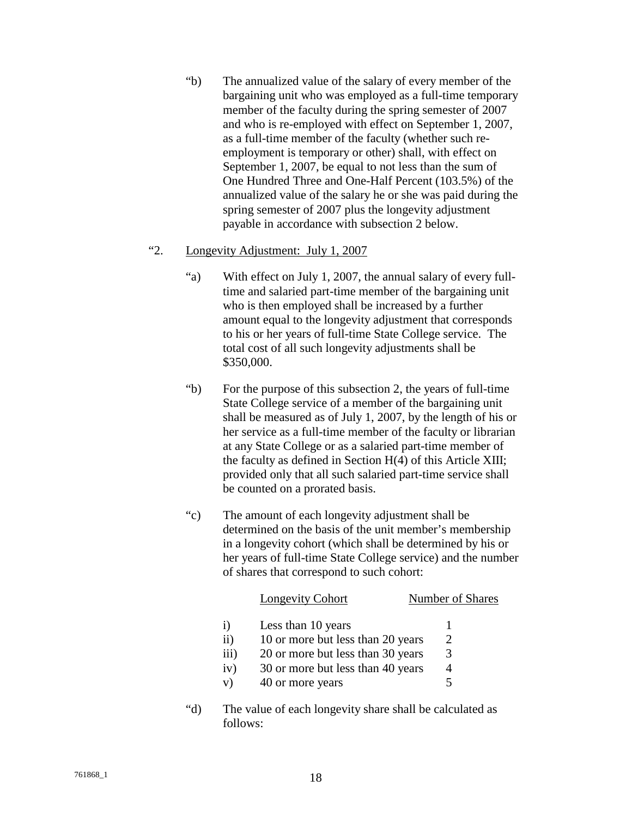"b) The annualized value of the salary of every member of the bargaining unit who was employed as a full-time temporary member of the faculty during the spring semester of 2007 and who is re-employed with effect on September 1, 2007, as a full-time member of the faculty (whether such reemployment is temporary or other) shall, with effect on September 1, 2007, be equal to not less than the sum of One Hundred Three and One-Half Percent (103.5%) of the annualized value of the salary he or she was paid during the spring semester of 2007 plus the longevity adjustment payable in accordance with subsection 2 below.

## "2. Longevity Adjustment: July 1, 2007

- "a) With effect on July 1, 2007, the annual salary of every fulltime and salaried part-time member of the bargaining unit who is then employed shall be increased by a further amount equal to the longevity adjustment that corresponds to his or her years of full-time State College service. The total cost of all such longevity adjustments shall be \$350,000.
- "b) For the purpose of this subsection 2, the years of full-time State College service of a member of the bargaining unit shall be measured as of July 1, 2007, by the length of his or her service as a full-time member of the faculty or librarian at any State College or as a salaried part-time member of the faculty as defined in Section H(4) of this Article XIII; provided only that all such salaried part-time service shall be counted on a prorated basis.
- "c) The amount of each longevity adjustment shall be determined on the basis of the unit member's membership in a longevity cohort (which shall be determined by his or her years of full-time State College service) and the number of shares that correspond to such cohort:

|                 | Longevity Cohort                  | Number of Shares |
|-----------------|-----------------------------------|------------------|
|                 | Less than 10 years                |                  |
| $\overline{11}$ | 10 or more but less than 20 years |                  |
| iii)            | 20 or more but less than 30 years | 3                |
| iv)             | 30 or more but less than 40 years | 4                |
| V)              | 40 or more years                  |                  |
|                 |                                   |                  |

 "d) The value of each longevity share shall be calculated as follows: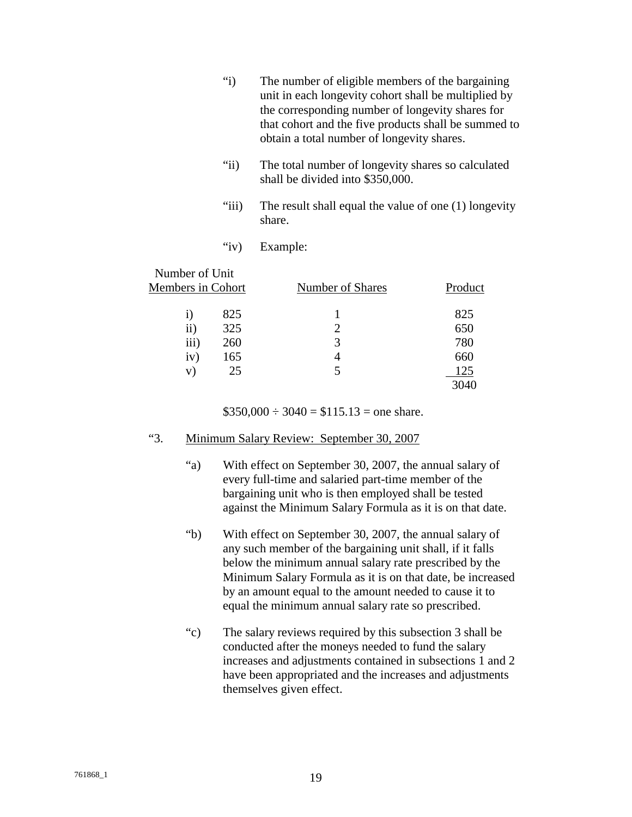- "i) The number of eligible members of the bargaining unit in each longevity cohort shall be multiplied by the corresponding number of longevity shares for that cohort and the five products shall be summed to obtain a total number of longevity shares.
- "ii) The total number of longevity shares so calculated shall be divided into \$350,000.
- "iii) The result shall equal the value of one (1) longevity share.
- "iv) Example:

| Number of Unit           |     |                  |         |
|--------------------------|-----|------------------|---------|
| <b>Members in Cohort</b> |     | Number of Shares | Product |
| 1)                       | 825 |                  | 825     |
| ii)                      | 325 |                  | 650     |
| iii)                     | 260 | 3                | 780     |
| iv)                      | 165 | 4                | 660     |
| V)                       | 25  |                  | 125     |
|                          |     |                  | 3040    |

 $$350,000 \div 3040 = $115.13 =$  one share.

## "3. Minimum Salary Review: September 30, 2007

- "a) With effect on September 30, 2007, the annual salary of every full-time and salaried part-time member of the bargaining unit who is then employed shall be tested against the Minimum Salary Formula as it is on that date.
- "b) With effect on September 30, 2007, the annual salary of any such member of the bargaining unit shall, if it falls below the minimum annual salary rate prescribed by the Minimum Salary Formula as it is on that date, be increased by an amount equal to the amount needed to cause it to equal the minimum annual salary rate so prescribed.
- "c) The salary reviews required by this subsection 3 shall be conducted after the moneys needed to fund the salary increases and adjustments contained in subsections 1 and 2 have been appropriated and the increases and adjustments themselves given effect.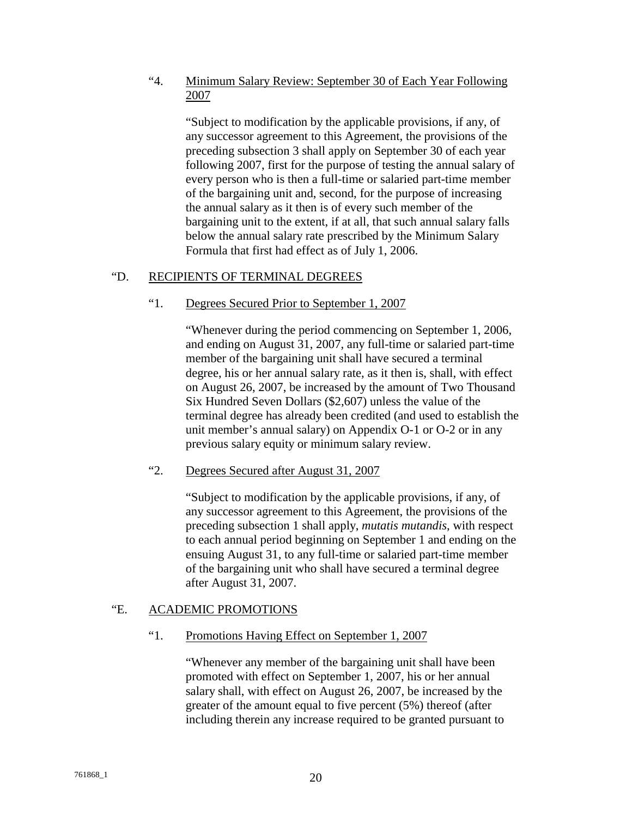## "4. Minimum Salary Review: September 30 of Each Year Following 2007

 "Subject to modification by the applicable provisions, if any, of any successor agreement to this Agreement, the provisions of the preceding subsection 3 shall apply on September 30 of each year following 2007, first for the purpose of testing the annual salary of every person who is then a full-time or salaried part-time member of the bargaining unit and, second, for the purpose of increasing the annual salary as it then is of every such member of the bargaining unit to the extent, if at all, that such annual salary falls below the annual salary rate prescribed by the Minimum Salary Formula that first had effect as of July 1, 2006.

## "D. RECIPIENTS OF TERMINAL DEGREES

## "1. Degrees Secured Prior to September 1, 2007

"Whenever during the period commencing on September 1, 2006, and ending on August 31, 2007, any full-time or salaried part-time member of the bargaining unit shall have secured a terminal degree, his or her annual salary rate, as it then is, shall, with effect on August 26, 2007, be increased by the amount of Two Thousand Six Hundred Seven Dollars (\$2,607) unless the value of the terminal degree has already been credited (and used to establish the unit member's annual salary) on Appendix O-1 or O-2 or in any previous salary equity or minimum salary review.

## "2. Degrees Secured after August 31, 2007

"Subject to modification by the applicable provisions, if any, of any successor agreement to this Agreement, the provisions of the preceding subsection 1 shall apply, *mutatis mutandis*, with respect to each annual period beginning on September 1 and ending on the ensuing August 31, to any full-time or salaried part-time member of the bargaining unit who shall have secured a terminal degree after August 31, 2007.

## "E. ACADEMIC PROMOTIONS

## "1. Promotions Having Effect on September 1, 2007

"Whenever any member of the bargaining unit shall have been promoted with effect on September 1, 2007, his or her annual salary shall, with effect on August 26, 2007, be increased by the greater of the amount equal to five percent (5%) thereof (after including therein any increase required to be granted pursuant to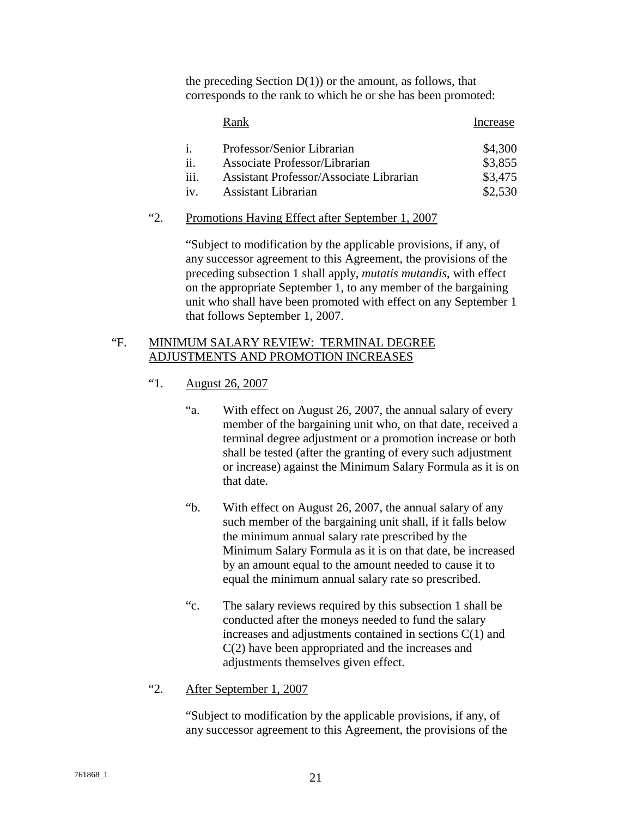the preceding Section  $D(1)$  or the amount, as follows, that corresponds to the rank to which he or she has been promoted:

|              | Rank                                    | Increase |
|--------------|-----------------------------------------|----------|
|              | Professor/Senior Librarian              | \$4,300  |
|              | Associate Professor/Librarian           | \$3,855  |
| 111.         | Assistant Professor/Associate Librarian | \$3,475  |
| $1V_{\odot}$ | Assistant Librarian                     | \$2,530  |

## "2. Promotions Having Effect after September 1, 2007

"Subject to modification by the applicable provisions, if any, of any successor agreement to this Agreement, the provisions of the preceding subsection 1 shall apply, *mutatis mutandis*, with effect on the appropriate September 1, to any member of the bargaining unit who shall have been promoted with effect on any September 1 that follows September 1, 2007.

## "F. MINIMUM SALARY REVIEW: TERMINAL DEGREE ADJUSTMENTS AND PROMOTION INCREASES

- "1. August 26, 2007
	- "a. With effect on August 26, 2007, the annual salary of every member of the bargaining unit who, on that date, received a terminal degree adjustment or a promotion increase or both shall be tested (after the granting of every such adjustment or increase) against the Minimum Salary Formula as it is on that date.
	- "b. With effect on August 26, 2007, the annual salary of any such member of the bargaining unit shall, if it falls below the minimum annual salary rate prescribed by the Minimum Salary Formula as it is on that date, be increased by an amount equal to the amount needed to cause it to equal the minimum annual salary rate so prescribed.
	- "c. The salary reviews required by this subsection 1 shall be conducted after the moneys needed to fund the salary increases and adjustments contained in sections C(1) and C(2) have been appropriated and the increases and adjustments themselves given effect.
- "2. After September 1, 2007

"Subject to modification by the applicable provisions, if any, of any successor agreement to this Agreement, the provisions of the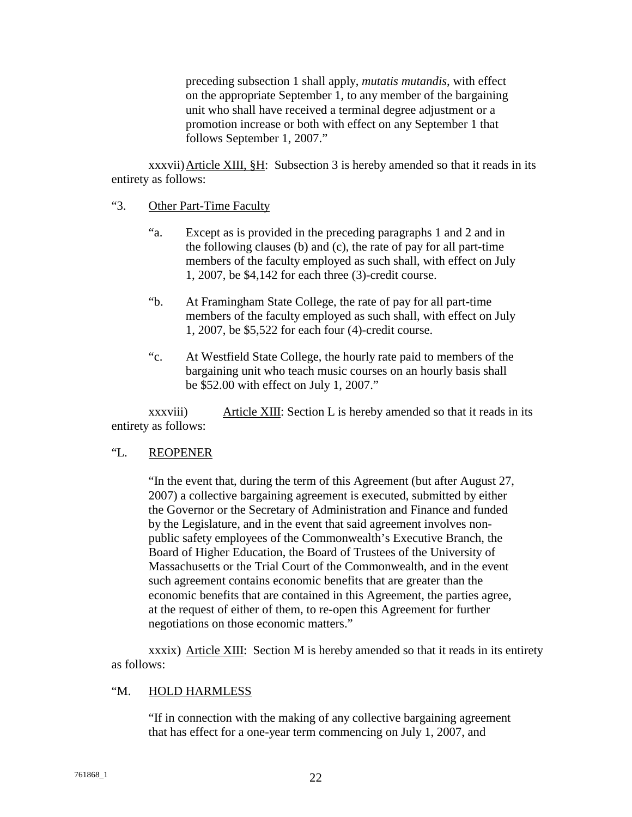preceding subsection 1 shall apply, *mutatis mutandis*, with effect on the appropriate September 1, to any member of the bargaining unit who shall have received a terminal degree adjustment or a promotion increase or both with effect on any September 1 that follows September 1, 2007."

xxxvii) Article XIII, §H: Subsection 3 is hereby amended so that it reads in its entirety as follows:

#### "3. Other Part-Time Faculty

- "a. Except as is provided in the preceding paragraphs 1 and 2 and in the following clauses (b) and (c), the rate of pay for all part-time members of the faculty employed as such shall, with effect on July 1, 2007, be \$4,142 for each three (3)-credit course.
- "b. At Framingham State College, the rate of pay for all part-time members of the faculty employed as such shall, with effect on July 1, 2007, be \$5,522 for each four (4)-credit course.
- "c. At Westfield State College, the hourly rate paid to members of the bargaining unit who teach music courses on an hourly basis shall be \$52.00 with effect on July 1, 2007."

xxxviii) Article XIII: Section L is hereby amended so that it reads in its entirety as follows:

## "L. REOPENER

"In the event that, during the term of this Agreement (but after August 27, 2007) a collective bargaining agreement is executed, submitted by either the Governor or the Secretary of Administration and Finance and funded by the Legislature, and in the event that said agreement involves nonpublic safety employees of the Commonwealth's Executive Branch, the Board of Higher Education, the Board of Trustees of the University of Massachusetts or the Trial Court of the Commonwealth, and in the event such agreement contains economic benefits that are greater than the economic benefits that are contained in this Agreement, the parties agree, at the request of either of them, to re-open this Agreement for further negotiations on those economic matters."

xxxix) Article XIII: Section M is hereby amended so that it reads in its entirety as follows:

## "M. HOLD HARMLESS

"If in connection with the making of any collective bargaining agreement that has effect for a one-year term commencing on July 1, 2007, and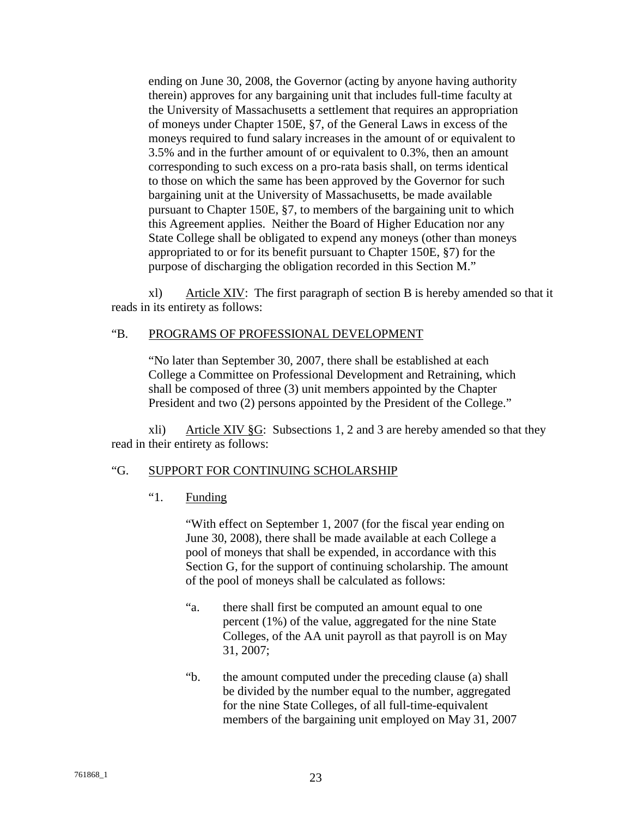ending on June 30, 2008, the Governor (acting by anyone having authority therein) approves for any bargaining unit that includes full-time faculty at the University of Massachusetts a settlement that requires an appropriation of moneys under Chapter 150E, §7, of the General Laws in excess of the moneys required to fund salary increases in the amount of or equivalent to 3.5% and in the further amount of or equivalent to 0.3%, then an amount corresponding to such excess on a pro-rata basis shall, on terms identical to those on which the same has been approved by the Governor for such bargaining unit at the University of Massachusetts, be made available pursuant to Chapter 150E, §7, to members of the bargaining unit to which this Agreement applies. Neither the Board of Higher Education nor any State College shall be obligated to expend any moneys (other than moneys appropriated to or for its benefit pursuant to Chapter 150E, §7) for the purpose of discharging the obligation recorded in this Section M."

xl) Article XIV: The first paragraph of section B is hereby amended so that it reads in its entirety as follows:

## "B. PROGRAMS OF PROFESSIONAL DEVELOPMENT

"No later than September 30, 2007, there shall be established at each College a Committee on Professional Development and Retraining, which shall be composed of three (3) unit members appointed by the Chapter President and two (2) persons appointed by the President of the College."

xli) Article XIV §G: Subsections 1, 2 and 3 are hereby amended so that they read in their entirety as follows:

## "G. SUPPORT FOR CONTINUING SCHOLARSHIP

"1. Funding

"With effect on September 1, 2007 (for the fiscal year ending on June 30, 2008), there shall be made available at each College a pool of moneys that shall be expended, in accordance with this Section G, for the support of continuing scholarship. The amount of the pool of moneys shall be calculated as follows:

- "a. there shall first be computed an amount equal to one percent (1%) of the value, aggregated for the nine State Colleges, of the AA unit payroll as that payroll is on May 31, 2007;
- "b. the amount computed under the preceding clause (a) shall be divided by the number equal to the number, aggregated for the nine State Colleges, of all full-time-equivalent members of the bargaining unit employed on May 31, 2007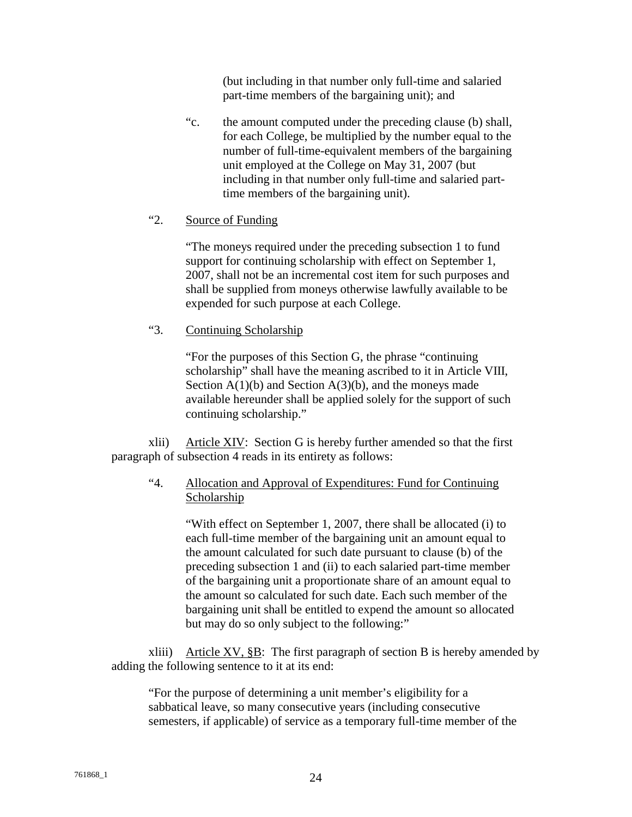(but including in that number only full-time and salaried part-time members of the bargaining unit); and

"c. the amount computed under the preceding clause (b) shall, for each College, be multiplied by the number equal to the number of full-time-equivalent members of the bargaining unit employed at the College on May 31, 2007 (but including in that number only full-time and salaried parttime members of the bargaining unit).

## "2. Source of Funding

"The moneys required under the preceding subsection 1 to fund support for continuing scholarship with effect on September 1, 2007, shall not be an incremental cost item for such purposes and shall be supplied from moneys otherwise lawfully available to be expended for such purpose at each College.

## "3. Continuing Scholarship

"For the purposes of this Section G, the phrase "continuing scholarship" shall have the meaning ascribed to it in Article VIII, Section  $A(1)(b)$  and Section  $A(3)(b)$ , and the moneys made available hereunder shall be applied solely for the support of such continuing scholarship."

xlii) Article XIV: Section G is hereby further amended so that the first paragraph of subsection 4 reads in its entirety as follows:

# "4. Allocation and Approval of Expenditures: Fund for Continuing **Scholarship**

"With effect on September 1, 2007, there shall be allocated (i) to each full-time member of the bargaining unit an amount equal to the amount calculated for such date pursuant to clause (b) of the preceding subsection 1 and (ii) to each salaried part-time member of the bargaining unit a proportionate share of an amount equal to the amount so calculated for such date. Each such member of the bargaining unit shall be entitled to expend the amount so allocated but may do so only subject to the following:"

xliii) Article XV,  $\S$ B: The first paragraph of section B is hereby amended by adding the following sentence to it at its end:

"For the purpose of determining a unit member's eligibility for a sabbatical leave, so many consecutive years (including consecutive semesters, if applicable) of service as a temporary full-time member of the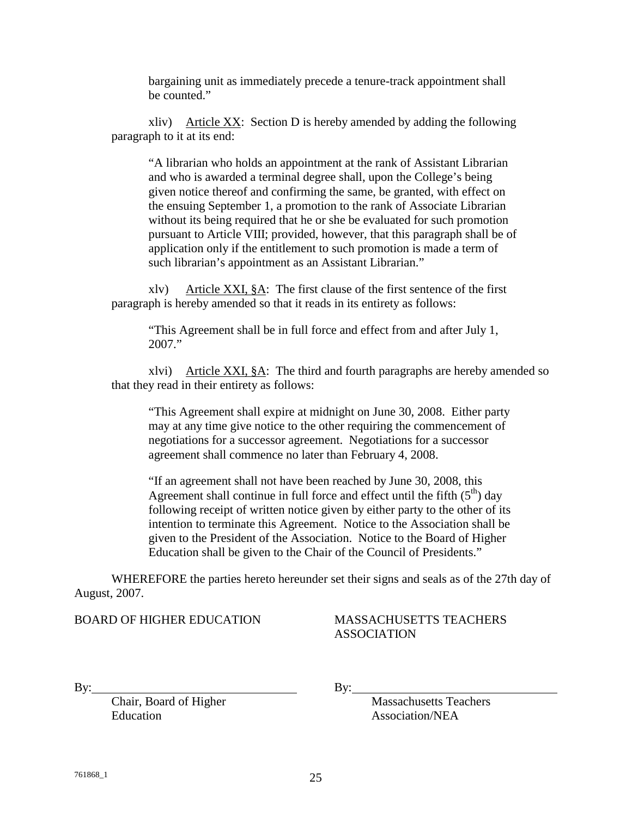bargaining unit as immediately precede a tenure-track appointment shall be counted."

xliv) Article XX: Section D is hereby amended by adding the following paragraph to it at its end:

"A librarian who holds an appointment at the rank of Assistant Librarian and who is awarded a terminal degree shall, upon the College's being given notice thereof and confirming the same, be granted, with effect on the ensuing September 1, a promotion to the rank of Associate Librarian without its being required that he or she be evaluated for such promotion pursuant to Article VIII; provided, however, that this paragraph shall be of application only if the entitlement to such promotion is made a term of such librarian's appointment as an Assistant Librarian."

xlv) Article XXI, §A: The first clause of the first sentence of the first paragraph is hereby amended so that it reads in its entirety as follows:

"This Agreement shall be in full force and effect from and after July 1, 2007."

xlvi) Article XXI, §A: The third and fourth paragraphs are hereby amended so that they read in their entirety as follows:

"This Agreement shall expire at midnight on June 30, 2008. Either party may at any time give notice to the other requiring the commencement of negotiations for a successor agreement. Negotiations for a successor agreement shall commence no later than February 4, 2008.

"If an agreement shall not have been reached by June 30, 2008, this Agreement shall continue in full force and effect until the fifth  $(5<sup>th</sup>)$  day following receipt of written notice given by either party to the other of its intention to terminate this Agreement. Notice to the Association shall be given to the President of the Association. Notice to the Board of Higher Education shall be given to the Chair of the Council of Presidents."

WHEREFORE the parties hereto hereunder set their signs and seals as of the 27th day of August, 2007.

## BOARD OF HIGHER EDUCATION MASSACHUSETTS TEACHERS

# ASSOCIATION

Education Association/NEA

By: By:

Chair, Board of Higher Massachusetts Teachers